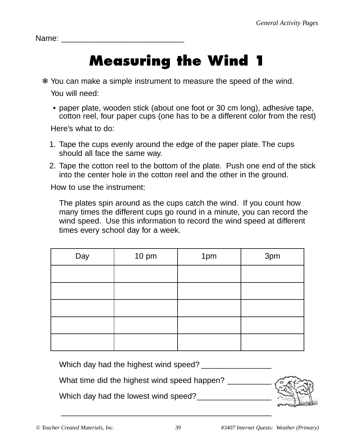Name:

## **Measuring the Wind 1**

- ❄ You can make a simple instrument to measure the speed of the wind. You will need:
	- paper plate, wooden stick (about one foot or 30 cm long), adhesive tape, cotton reel, four paper cups (one has to be a different color from the rest)

Here's what to do:

- 1. Tape the cups evenly around the edge of the paper plate. The cups should all face the same way.
- 2. Tape the cotton reel to the bottom of the plate. Push one end of the stick into the center hole in the cotton reel and the other in the ground.

How to use the instrument:

The plates spin around as the cups catch the wind. If you count how many times the different cups go round in a minute, you can record the wind speed. Use this information to record the wind speed at different times every school day for a week.

| Day | 10 pm | 1pm | 3pm |
|-----|-------|-----|-----|
|     |       |     |     |
|     |       |     |     |
|     |       |     |     |
|     |       |     |     |
|     |       |     |     |

Which day had the highest wind speed? \_\_\_\_\_\_\_\_\_\_\_\_\_\_\_\_

What time did the highest wind speed happen?

Which day had the lowest wind speed?



\_\_\_\_\_\_\_\_\_\_\_\_\_\_\_\_\_\_\_\_\_\_\_\_\_\_\_\_\_\_\_\_\_\_\_\_\_\_\_\_\_\_\_\_\_\_\_\_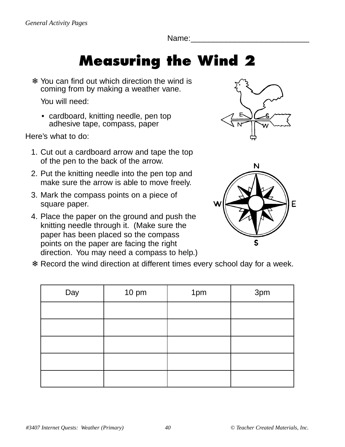Name:

## **Measuring the Wind 2**

❄ You can find out which direction the wind is coming from by making a weather vane.

You will need:

• cardboard, knitting needle, pen top adhesive tape, compass, paper

Here's what to do:

- 1. Cut out a cardboard arrow and tape the top of the pen to the back of the arrow.
- 2. Put the knitting needle into the pen top and make sure the arrow is able to move freely.
- 3. Mark the compass points on a piece of square paper.
- 4. Place the paper on the ground and push the knitting needle through it. (Make sure the paper has been placed so the compass points on the paper are facing the right direction. You may need a compass to help.)





❄ Record the wind direction at different times every school day for a week.

| Day | 10 pm | 1pm | 3pm |
|-----|-------|-----|-----|
|     |       |     |     |
|     |       |     |     |
|     |       |     |     |
|     |       |     |     |
|     |       |     |     |